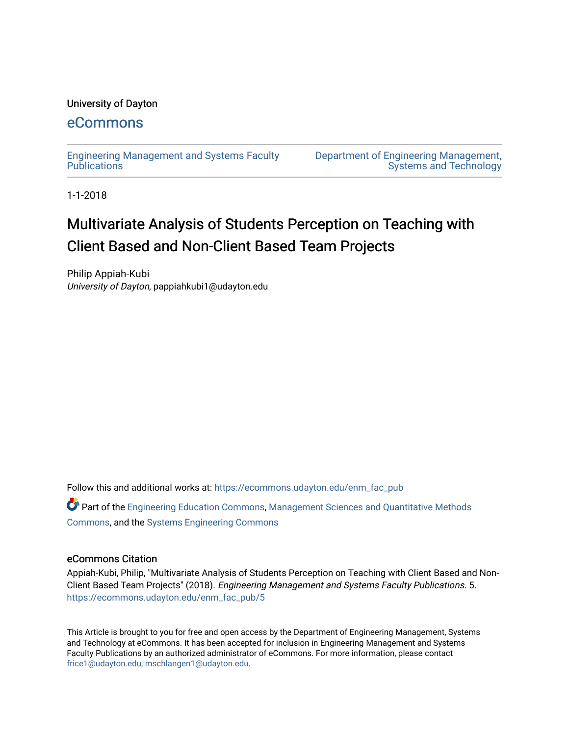### University of Dayton

## [eCommons](https://ecommons.udayton.edu/)

[Engineering Management and Systems Faculty](https://ecommons.udayton.edu/enm_fac_pub)  **Publications** 

[Department of Engineering Management,](https://ecommons.udayton.edu/enm)  [Systems and Technology](https://ecommons.udayton.edu/enm) 

1-1-2018

# Multivariate Analysis of Students Perception on Teaching with Client Based and Non-Client Based Team Projects

Philip Appiah-Kubi University of Dayton, pappiahkubi1@udayton.edu

Follow this and additional works at: [https://ecommons.udayton.edu/enm\\_fac\\_pub](https://ecommons.udayton.edu/enm_fac_pub?utm_source=ecommons.udayton.edu%2Fenm_fac_pub%2F5&utm_medium=PDF&utm_campaign=PDFCoverPages)

Part of the [Engineering Education Commons,](http://network.bepress.com/hgg/discipline/1191?utm_source=ecommons.udayton.edu%2Fenm_fac_pub%2F5&utm_medium=PDF&utm_campaign=PDFCoverPages) [Management Sciences and Quantitative Methods](http://network.bepress.com/hgg/discipline/637?utm_source=ecommons.udayton.edu%2Fenm_fac_pub%2F5&utm_medium=PDF&utm_campaign=PDFCoverPages)  [Commons](http://network.bepress.com/hgg/discipline/637?utm_source=ecommons.udayton.edu%2Fenm_fac_pub%2F5&utm_medium=PDF&utm_campaign=PDFCoverPages), and the [Systems Engineering Commons](http://network.bepress.com/hgg/discipline/309?utm_source=ecommons.udayton.edu%2Fenm_fac_pub%2F5&utm_medium=PDF&utm_campaign=PDFCoverPages) 

### eCommons Citation

Appiah-Kubi, Philip, "Multivariate Analysis of Students Perception on Teaching with Client Based and Non-Client Based Team Projects" (2018). Engineering Management and Systems Faculty Publications. 5. [https://ecommons.udayton.edu/enm\\_fac\\_pub/5](https://ecommons.udayton.edu/enm_fac_pub/5?utm_source=ecommons.udayton.edu%2Fenm_fac_pub%2F5&utm_medium=PDF&utm_campaign=PDFCoverPages)

This Article is brought to you for free and open access by the Department of Engineering Management, Systems and Technology at eCommons. It has been accepted for inclusion in Engineering Management and Systems Faculty Publications by an authorized administrator of eCommons. For more information, please contact [frice1@udayton.edu, mschlangen1@udayton.edu.](mailto:frice1@udayton.edu,%20mschlangen1@udayton.edu)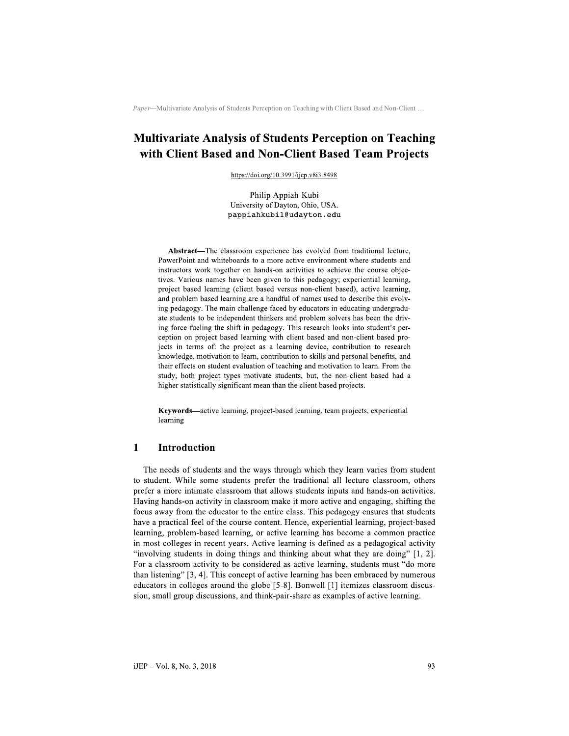# **Multivariate Analysis of Students Perception on Teaching** with Client Based and Non-Client Based Team Projects

https://doi.org/10.3991/ijep.v8i3.8498

Philip Appiah-Kubi University of Dayton, Ohio, USA. pappiahkubil@udayton.edu

Abstract—The classroom experience has evolved from traditional lecture, PowerPoint and whiteboards to a more active environment where students and instructors work together on hands-on activities to achieve the course objectives. Various names have been given to this pedagogy; experiential learning, project based learning (client based versus non-client based), active learning, and problem based learning are a handful of names used to describe this evolving pedagogy. The main challenge faced by educators in educating undergraduate students to be independent thinkers and problem solvers has been the driving force fueling the shift in pedagogy. This research looks into student's perception on project based learning with client based and non-client based projects in terms of: the project as a learning device, contribution to research knowledge, motivation to learn, contribution to skills and personal benefits, and their effects on student evaluation of teaching and motivation to learn. From the study, both project types motivate students, but, the non-client based had a higher statistically significant mean than the client based projects.

Keywords-active learning, project-based learning, team projects, experiential learning

#### $\blacksquare$ **Introduction**

The needs of students and the ways through which they learn varies from student to student. While some students prefer the traditional all lecture classroom, others prefer a more intimate classroom that allows students inputs and hands-on activities. Having hands-on activity in classroom make it more active and engaging, shifting the focus away from the educator to the entire class. This pedagogy ensures that students have a practical feel of the course content. Hence, experiential learning, project-based learning, problem-based learning, or active learning has become a common practice in most colleges in recent years. Active learning is defined as a pedagogical activity "involving students in doing things and thinking about what they are doing" [1, 2]. For a classroom activity to be considered as active learning, students must "do more than listening" [3, 4]. This concept of active learning has been embraced by numerous educators in colleges around the globe [5-8]. Bonwell [1] itemizes classroom discussion, small group discussions, and think-pair-share as examples of active learning.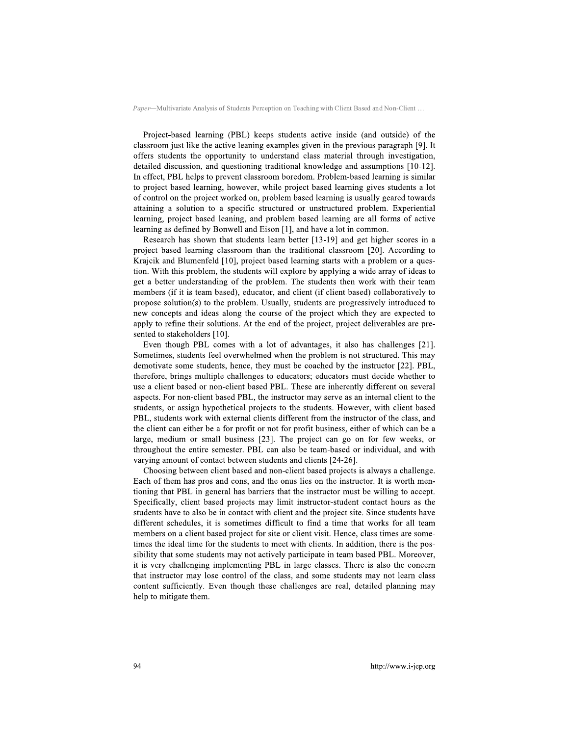Project-based learning (PBL) keeps students active inside (and outside) of the classroom just like the active leaning examples given in the previous paragraph [9]. It offers students the opportunity to understand class material through investigation, detailed discussion, and questioning traditional knowledge and assumptions [10-12]. In effect, PBL helps to prevent classroom boredom. Problem-based learning is similar to project based learning, however, while project based learning gives students a lot of control on the project worked on, problem based learning is usually geared towards attaining a solution to a specific structured or unstructured problem. Experiential learning, project based leaning, and problem based learning are all forms of active learning as defined by Bonwell and Eison [1], and have a lot in common.

Research has shown that students learn better [13-19] and get higher scores in a project based learning classroom than the traditional classroom [20]. According to Krajcik and Blumenfeld [10], project based learning starts with a problem or a question. With this problem, the students will explore by applying a wide array of ideas to get a better understanding of the problem. The students then work with their team members (if it is team based), educator, and client (if client based) collaboratively to propose solution(s) to the problem. Usually, students are progressively introduced to new concepts and ideas along the course of the project which they are expected to apply to refine their solutions. At the end of the project, project deliverables are presented to stakeholders [10].

Even though PBL comes with a lot of advantages, it also has challenges [21]. Sometimes, students feel overwhelmed when the problem is not structured. This may demotivate some students, hence, they must be coached by the instructor [22]. PBL, therefore, brings multiple challenges to educators; educators must decide whether to use a client based or non-client based PBL. These are inherently different on several aspects. For non-client based PBL, the instructor may serve as an internal client to the students, or assign hypothetical projects to the students. However, with client based PBL, students work with external clients different from the instructor of the class, and the client can either be a for profit or not for profit business, either of which can be a large, medium or small business [23]. The project can go on for few weeks, or throughout the entire semester. PBL can also be team-based or individual, and with varying amount of contact between students and clients [24-26].

Choosing between client based and non-client based projects is always a challenge. Each of them has pros and cons, and the onus lies on the instructor. It is worth mentioning that PBL in general has barriers that the instructor must be willing to accept. Specifically, client based projects may limit instructor-student contact hours as the students have to also be in contact with client and the project site. Since students have different schedules, it is sometimes difficult to find a time that works for all team members on a client based project for site or client visit. Hence, class times are sometimes the ideal time for the students to meet with clients. In addition, there is the possibility that some students may not actively participate in team based PBL. Moreover, it is very challenging implementing PBL in large classes. There is also the concern that instructor may lose control of the class, and some students may not learn class content sufficiently. Even though these challenges are real, detailed planning may help to mitigate them.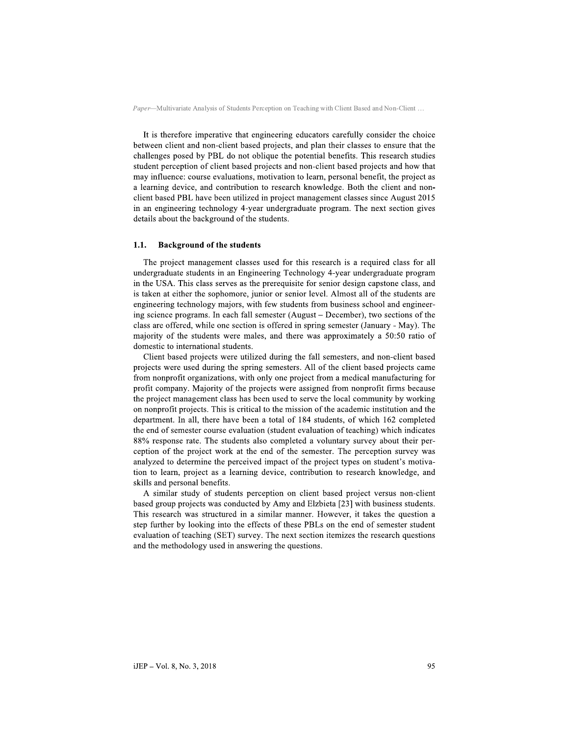It is therefore imperative that engineering educators carefully consider the choice between client and non-client based projects, and plan their classes to ensure that the challenges posed by PBL do not oblique the potential benefits. This research studies student perception of client based projects and non-client based projects and how that may influence: course evaluations, motivation to learn, personal benefit, the project as a learning device, and contribution to research knowledge. Both the client and nonclient based PBL have been utilized in project management classes since August 2015 in an engineering technology 4-year undergraduate program. The next section gives details about the background of the students.

#### $1.1.$ **Background of the students**

The project management classes used for this research is a required class for all undergraduate students in an Engineering Technology 4-year undergraduate program in the USA. This class serves as the prerequisite for senior design capstone class, and is taken at either the sophomore, junior or senior level. Almost all of the students are engineering technology majors, with few students from business school and engineering science programs. In each fall semester (August – December), two sections of the class are offered, while one section is offered in spring semester (January - May). The majority of the students were males, and there was approximately a 50:50 ratio of domestic to international students.

Client based projects were utilized during the fall semesters, and non-client based projects were used during the spring semesters. All of the client based projects came from nonprofit organizations, with only one project from a medical manufacturing for profit company. Majority of the projects were assigned from nonprofit firms because the project management class has been used to serve the local community by working on nonprofit projects. This is critical to the mission of the academic institution and the department. In all, there have been a total of 184 students, of which 162 completed the end of semester course evaluation (student evaluation of teaching) which indicates 88% response rate. The students also completed a voluntary survey about their perception of the project work at the end of the semester. The perception survey was analyzed to determine the perceived impact of the project types on student's motivation to learn, project as a learning device, contribution to research knowledge, and skills and personal benefits.

A similar study of students perception on client based project versus non-client based group projects was conducted by Amy and Elzbieta [23] with business students. This research was structured in a similar manner. However, it takes the question a step further by looking into the effects of these PBLs on the end of semester student evaluation of teaching (SET) survey. The next section itemizes the research questions and the methodology used in answering the questions.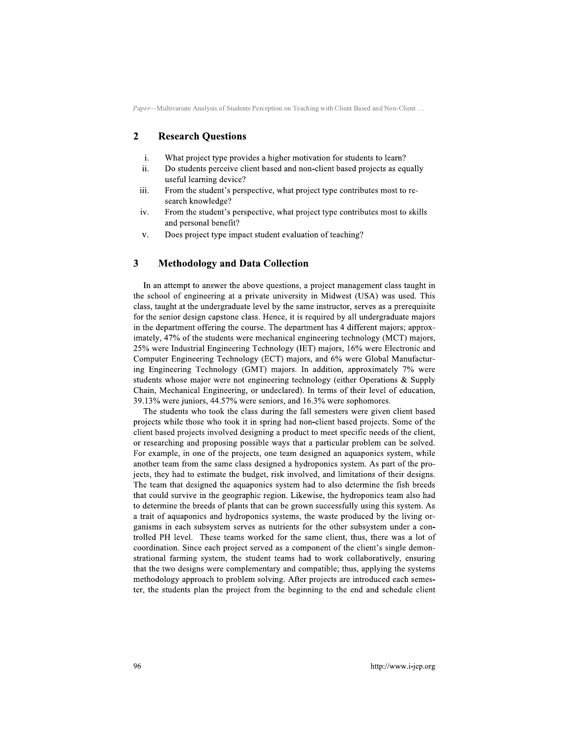#### $\overline{2}$ **Research Ouestions**

- $\mathbf{i}$ . What project type provides a higher motivation for students to learn?
- $ii.$ Do students perceive client based and non-client based projects as equally useful learning device?
- iii. From the student's perspective, what project type contributes most to research knowledge?
- From the student's perspective, what project type contributes most to skills iv. and personal benefit?
- Does project type impact student evaluation of teaching? v.

#### $\overline{\mathbf{3}}$ **Methodology and Data Collection**

In an attempt to answer the above questions, a project management class taught in the school of engineering at a private university in Midwest (USA) was used. This class, taught at the undergraduate level by the same instructor, serves as a prerequisite for the senior design capstone class. Hence, it is required by all undergraduate majors in the department offering the course. The department has 4 different majors; approximately, 47% of the students were mechanical engineering technology (MCT) majors, 25% were Industrial Engineering Technology (IET) majors, 16% were Electronic and Computer Engineering Technology (ECT) majors, and 6% were Global Manufacturing Engineering Technology (GMT) majors. In addition, approximately 7% were students whose major were not engineering technology (either Operations & Supply Chain, Mechanical Engineering, or undeclared). In terms of their level of education, 39.13% were juniors, 44.57% were seniors, and 16.3% were sophomores.

The students who took the class during the fall semesters were given client based projects while those who took it in spring had non-client based projects. Some of the client based projects involved designing a product to meet specific needs of the client, or researching and proposing possible ways that a particular problem can be solved. For example, in one of the projects, one team designed an aquaponics system, while another team from the same class designed a hydroponics system. As part of the projects, they had to estimate the budget, risk involved, and limitations of their designs. The team that designed the aquaponics system had to also determine the fish breeds that could survive in the geographic region. Likewise, the hydroponics team also had to determine the breeds of plants that can be grown successfully using this system. As a trait of aquaponics and hydroponics systems, the waste produced by the living organisms in each subsystem serves as nutrients for the other subsystem under a controlled PH level. These teams worked for the same client, thus, there was a lot of coordination. Since each project served as a component of the client's single demonstrational farming system, the student teams had to work collaboratively, ensuring that the two designs were complementary and compatible; thus, applying the systems methodology approach to problem solving. After projects are introduced each semester, the students plan the project from the beginning to the end and schedule client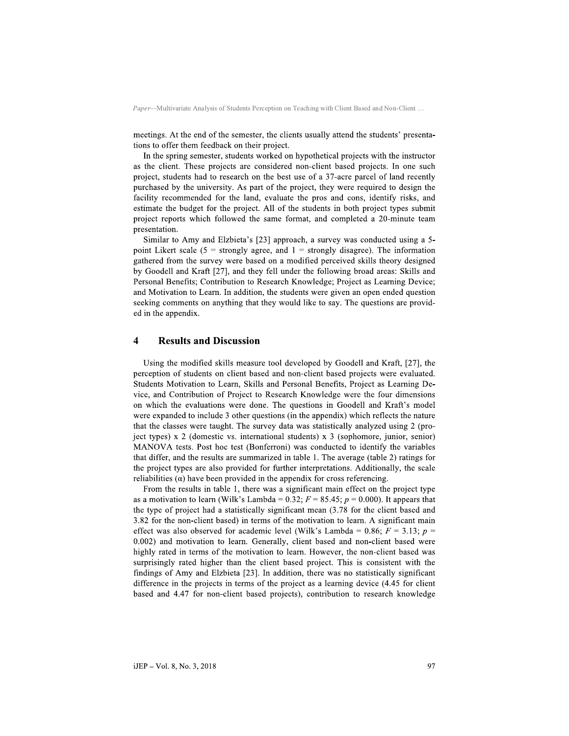meetings. At the end of the semester, the clients usually attend the students' presentations to offer them feedback on their project.

In the spring semester, students worked on hypothetical projects with the instructor as the client. These projects are considered non-client based projects. In one such project, students had to research on the best use of a 37-acre parcel of land recently purchased by the university. As part of the project, they were required to design the facility recommended for the land, evaluate the pros and cons, identify risks, and estimate the budget for the project. All of the students in both project types submit project reports which followed the same format, and completed a 20-minute team presentation.

Similar to Amy and Elzbieta's [23] approach, a survey was conducted using a 5point Likert scale (5 = strongly agree, and 1 = strongly disagree). The information gathered from the survey were based on a modified perceived skills theory designed by Goodell and Kraft [27], and they fell under the following broad areas: Skills and Personal Benefits; Contribution to Research Knowledge; Project as Learning Device; and Motivation to Learn. In addition, the students were given an open ended question seeking comments on anything that they would like to say. The questions are provided in the appendix.

#### $\boldsymbol{\Delta}$ **Results and Discussion**

Using the modified skills measure tool developed by Goodell and Kraft, [27], the perception of students on client based and non-client based projects were evaluated. Students Motivation to Learn, Skills and Personal Benefits, Project as Learning Device, and Contribution of Project to Research Knowledge were the four dimensions on which the evaluations were done. The questions in Goodell and Kraft's model were expanded to include 3 other questions (in the appendix) which reflects the nature that the classes were taught. The survey data was statistically analyzed using 2 (project types)  $x$  2 (domestic vs. international students)  $x$  3 (sophomore, junior, senior) MANOVA tests. Post hoc test (Bonferroni) was conducted to identify the variables that differ, and the results are summarized in table 1. The average (table 2) ratings for the project types are also provided for further interpretations. Additionally, the scale reliabilities  $(\alpha)$  have been provided in the appendix for cross referencing.

From the results in table 1, there was a significant main effect on the project type as a motivation to learn (Wilk's Lambda = 0.32;  $F = 85.45$ ;  $p = 0.000$ ). It appears that the type of project had a statistically significant mean (3.78 for the client based and 3.82 for the non-client based) in terms of the motivation to learn. A significant main effect was also observed for academic level (Wilk's Lambda = 0.86;  $F = 3.13$ ;  $p =$ 0.002) and motivation to learn. Generally, client based and non-client based were highly rated in terms of the motivation to learn. However, the non-client based was surprisingly rated higher than the client based project. This is consistent with the findings of Amy and Elzbieta [23]. In addition, there was no statistically significant difference in the projects in terms of the project as a learning device (4.45 for client based and 4.47 for non-client based projects), contribution to research knowledge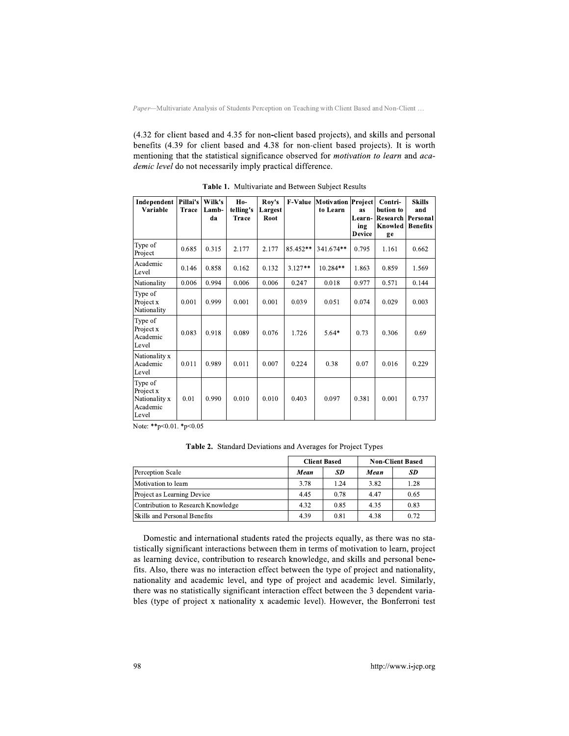(4.32 for client based and 4.35 for non-client based projects), and skills and personal benefits (4.39 for client based and 4.38 for non-client based projects). It is worth mentioning that the statistical significance observed for *motivation to learn* and *aca*demic level do not necessarily imply practical difference.

| Independent<br>Variable                                    | Pillai's<br><b>Trace</b> | Wilk's<br>Lamb-<br>da | Ho-<br>telling's<br>Trace | Rov's<br>Largest<br>Root | <b>F-Value</b> | Motivation Project<br>to Learn | as<br>Learn-<br>ing<br><b>Device</b> | Contri-<br>bution to<br>Research<br>Knowled<br>ge | <b>Skills</b><br>and<br>Personal<br><b>Benefits</b> |
|------------------------------------------------------------|--------------------------|-----------------------|---------------------------|--------------------------|----------------|--------------------------------|--------------------------------------|---------------------------------------------------|-----------------------------------------------------|
| Type of<br>Project                                         | 0.685                    | 0.315                 | 2.177                     | 2.177                    | 85.452**       | 341.674**                      | 0.795                                | 1.161                                             | 0.662                                               |
| Academic<br>Level                                          | 0.146                    | 0.858                 | 0.162                     | 0.132                    | $3.127**$      | $10.284**$                     | 1.863                                | 0.859                                             | 1.569                                               |
| Nationality                                                | 0.006                    | 0.994                 | 0.006                     | 0.006                    | 0.247          | 0.018                          | 0.977                                | 0.571                                             | 0.144                                               |
| Type of<br>Project x<br>Nationality                        | 0.001                    | 0.999                 | 0.001                     | 0.001                    | 0.039          | 0.051                          | 0.074                                | 0.029                                             | 0.003                                               |
| Type of<br>Project x<br>Academic<br>Level                  | 0.083                    | 0.918                 | 0.089                     | 0.076                    | 1.726          | $5.64*$                        | 0.73                                 | 0.306                                             | 0.69                                                |
| Nationality x<br>Academic<br>Level                         | 0.011                    | 0.989                 | 0.011                     | 0.007                    | 0.224          | 0.38                           | 0.07                                 | 0.016                                             | 0.229                                               |
| Type of<br>Project x<br>Nationality x<br>Academic<br>Level | 0.01                     | 0.990                 | 0.010                     | 0.010                    | 0.403          | 0.097                          | 0.381                                | 0.001                                             | 0.737                                               |

Table 1. Multivariate and Between Subject Results

Note: \*\* p< 0.01. \* p< 0.05

Table 2. Standard Deviations and Averages for Project Types

|                                    |      | <b>Client Based</b> | <b>Non-Client Based</b> |      |  |
|------------------------------------|------|---------------------|-------------------------|------|--|
| Perception Scale                   | Mean | SD                  | Mean                    | SD   |  |
| Motivation to learn                | 3.78 | 1.24                | 3.82                    | 1.28 |  |
| Project as Learning Device         | 4.45 | 0.78                | 4.47                    | 0.65 |  |
| Contribution to Research Knowledge | 4.32 | 0.85                | 4.35                    | 0.83 |  |
| Skills and Personal Benefits       | 4.39 | 0.81                | 4.38                    | 0.72 |  |

Domestic and international students rated the projects equally, as there was no statistically significant interactions between them in terms of motivation to learn, project as learning device, contribution to research knowledge, and skills and personal benefits. Also, there was no interaction effect between the type of project and nationality, nationality and academic level, and type of project and academic level. Similarly, there was no statistically significant interaction effect between the 3 dependent variables (type of project x nationality x academic level). However, the Bonferroni test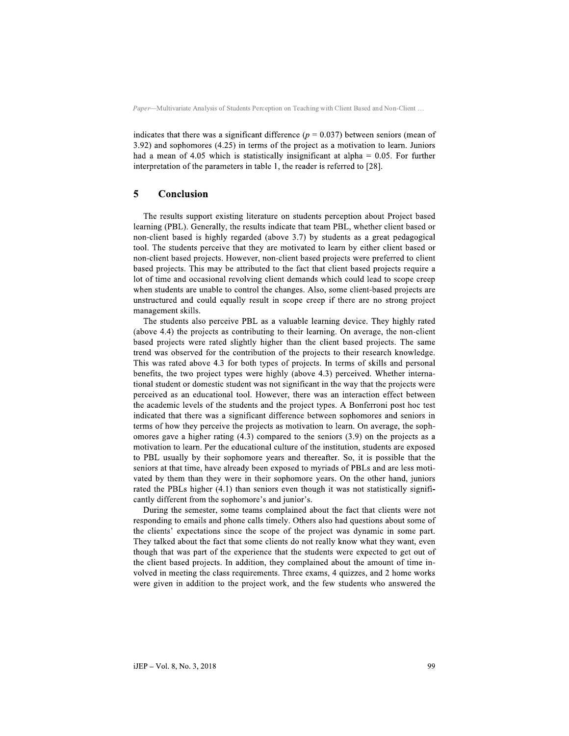indicates that there was a significant difference ( $p = 0.037$ ) between seniors (mean of  $3.92$ ) and sophomores  $(4.25)$  in terms of the project as a motivation to learn. Juniors had a mean of 4.05 which is statistically insignificant at alpha =  $0.05$ . For further interpretation of the parameters in table 1, the reader is referred to  $[28]$ .

#### 5 Conclusion

The results support existing literature on students perception about Project based learning (PBL). Generally, the results indicate that team PBL, whether client based or non-client based is highly regarded (above 3.7) by students as a great pedagogical tool. The students perceive that they are motivated to learn by either client based or non-client based projects. However, non-client based projects were preferred to client based projects. This may be attributed to the fact that client based projects require a lot of time and occasional revolving client demands which could lead to scope creep when students are unable to control the changes. Also, some client-based projects are unstructured and could equally result in scope creep if there are no strong project management skills.

The students also perceive PBL as a valuable learning device. They highly rated (above 4.4) the projects as contributing to their learning. On average, the non-client based projects were rated slightly higher than the client based projects. The same trend was observed for the contribution of the projects to their research knowledge. This was rated above 4.3 for both types of projects. In terms of skills and personal benefits, the two project types were highly (above 4.3) perceived. Whether international student or domestic student was not significant in the way that the projects were perceived as an educational tool. However, there was an interaction effect between the academic levels of the students and the project types. A Bonferroni post hoc test indicated that there was a significant difference between sophomores and seniors in terms of how they perceive the projects as motivation to learn. On average, the sophomores gave a higher rating  $(4.3)$  compared to the seniors  $(3.9)$  on the projects as a motivation to learn. Per the educational culture of the institution, students are exposed to PBL usually by their sophomore years and thereafter. So, it is possible that the seniors at that time, have already been exposed to myriads of PBLs and are less motivated by them than they were in their sophomore years. On the other hand, juniors rated the PBLs higher (4.1) than seniors even though it was not statistically significantly different from the sophomore's and junior's.

During the semester, some teams complained about the fact that clients were not responding to emails and phone calls timely. Others also had questions about some of the clients' expectations since the scope of the project was dynamic in some part. They talked about the fact that some clients do not really know what they want, even though that was part of the experience that the students were expected to get out of the client based projects. In addition, they complained about the amount of time involved in meeting the class requirements. Three exams, 4 quizzes, and 2 home works were given in addition to the project work, and the few students who answered the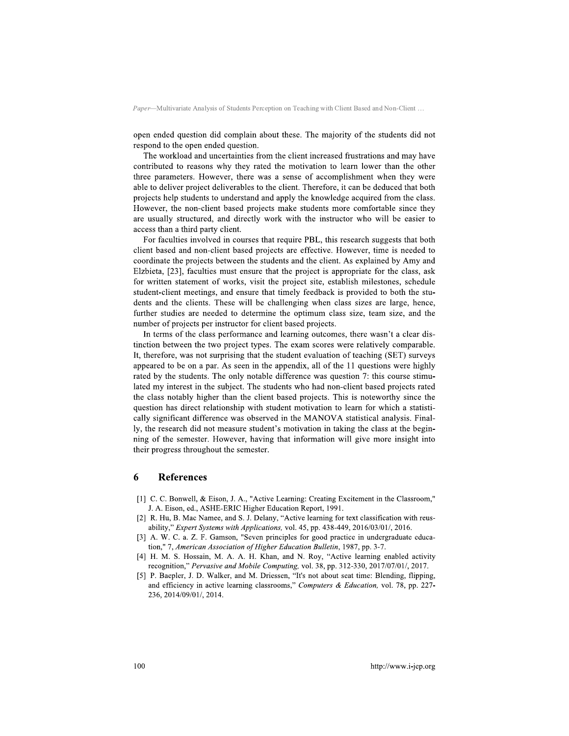open ended question did complain about these. The majority of the students did not respond to the open ended question.

The workload and uncertainties from the client increased frustrations and may have contributed to reasons why they rated the motivation to learn lower than the other three parameters. However, there was a sense of accomplishment when they were able to deliver project deliverables to the client. Therefore, it can be deduced that both projects help students to understand and apply the knowledge acquired from the class. However, the non-client based projects make students more comfortable since they are usually structured, and directly work with the instructor who will be easier to access than a third party client.

For faculties involved in courses that require PBL, this research suggests that both client based and non-client based projects are effective. However, time is needed to coordinate the projects between the students and the client. As explained by Amy and Elzbieta, [23], faculties must ensure that the project is appropriate for the class, ask for written statement of works, visit the project site, establish milestones, schedule student-client meetings, and ensure that timely feedback is provided to both the students and the clients. These will be challenging when class sizes are large, hence, further studies are needed to determine the optimum class size, team size, and the number of projects per instructor for client based projects.

In terms of the class performance and learning outcomes, there wasn't a clear distinction between the two project types. The exam scores were relatively comparable. It, therefore, was not surprising that the student evaluation of teaching (SET) surveys appeared to be on a par. As seen in the appendix, all of the 11 questions were highly rated by the students. The only notable difference was question 7: this course stimulated my interest in the subject. The students who had non-client based projects rated the class notably higher than the client based projects. This is noteworthy since the question has direct relationship with student motivation to learn for which a statistically significant difference was observed in the MANOVA statistical analysis. Finally, the research did not measure student's motivation in taking the class at the beginning of the semester. However, having that information will give more insight into their progress throughout the semester.

#### 6 **References**

- [1] C. C. Bonwell, & Eison, J. A., "Active Learning: Creating Excitement in the Classroom," J. A. Eison, ed., ASHE-ERIC Higher Education Report, 1991.
- [2] R. Hu, B. Mac Namee, and S. J. Delany, "Active learning for text classification with reusability," Expert Systems with Applications, vol. 45, pp. 438-449, 2016/03/01/, 2016.
- [3] A. W. C. a. Z. F. Gamson, "Seven principles for good practice in undergraduate education," 7, American Association of Higher Education Bulletin, 1987, pp. 3-7.
- [4] H. M. S. Hossain, M. A. A. H. Khan, and N. Roy, "Active learning enabled activity recognition," Pervasive and Mobile Computing, vol. 38, pp. 312-330, 2017/07/01/, 2017.
- [5] P. Baepler, J. D. Walker, and M. Driessen, "It's not about seat time: Blending, flipping, and efficiency in active learning classrooms," Computers & Education, vol. 78, pp. 227-236, 2014/09/01/, 2014.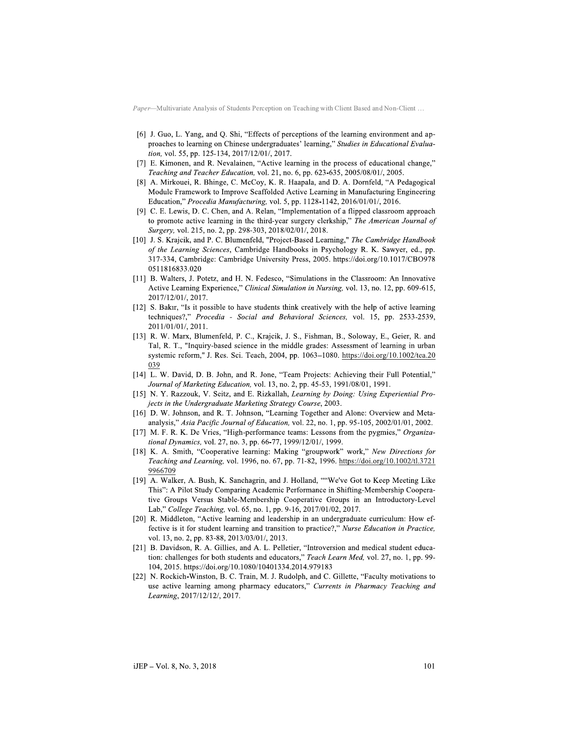- [6] J. Guo, L. Yang, and Q. Shi, "Effects of perceptions of the learning environment and approaches to learning on Chinese undergraduates' learning," Studies in Educational Evaluation, vol. 55, pp. 125-134, 2017/12/01/, 2017.
- [7] E. Kimonen, and R. Nevalainen, "Active learning in the process of educational change," Teaching and Teacher Education, vol. 21, no. 6, pp. 623-635, 2005/08/01/, 2005.
- [8] A. Mirkouei, R. Bhinge, C. McCoy, K. R. Haapala, and D. A. Dornfeld, "A Pedagogical Module Framework to Improve Scaffolded Active Learning in Manufacturing Engineering Education," Procedia Manufacturing, vol. 5, pp. 1128-1142, 2016/01/01/, 2016.
- [9] C. E. Lewis, D. C. Chen, and A. Relan, "Implementation of a flipped classroom approach to promote active learning in the third-year surgery clerkship," The American Journal of Surgery, vol. 215, no. 2, pp. 298-303, 2018/02/01/, 2018.
- [10] J. S. Krajcik, and P. C. Blumenfeld, "Project-Based Learning," The Cambridge Handbook of the Learning Sciences, Cambridge Handbooks in Psychology R. K. Sawyer, ed., pp. 317-334, Cambridge: Cambridge University Press, 2005. https://doi.org/10.1017/CBO978 0511816833.020
- [11] B. Walters, J. Potetz, and H. N. Fedesco, "Simulations in the Classroom: An Innovative Active Learning Experience," Clinical Simulation in Nursing, vol. 13, no. 12, pp. 609-615, 2017/12/01/, 2017.
- [12] S. Bakır, "Is it possible to have students think creatively with the help of active learning techniques?," Procedia - Social and Behavioral Sciences, vol. 15, pp. 2533-2539, 2011/01/01/, 2011.
- [13] R. W. Marx, Blumenfeld, P. C., Krajcik, J. S., Fishman, B., Soloway, E., Geier, R. and Tal, R. T., "Inquiry-based science in the middle grades: Assessment of learning in urban systemic reform," J. Res. Sci. Teach, 2004, pp. 1063-1080. https://doi.org/10.1002/tea.20 039
- [14] L. W. David, D. B. John, and R. Jone, "Team Projects: Achieving their Full Potential," Journal of Marketing Education, vol. 13, no. 2, pp. 45-53, 1991/08/01, 1991.
- [15] N. Y. Razzouk, V. Seitz, and E. Rizkallah, Learning by Doing: Using Experiential Projects in the Undergraduate Marketing Strategy Course, 2003.
- [16] D. W. Johnson, and R. T. Johnson, "Learning Together and Alone: Overview and Metaanalysis," Asia Pacific Journal of Education, vol. 22, no. 1, pp. 95-105, 2002/01/01, 2002.
- [17] M. F. R. K. De Vries, "High-performance teams: Lessons from the pygmies," Organizational Dynamics, vol. 27, no. 3, pp. 66-77, 1999/12/01/, 1999.
- [18] K. A. Smith, "Cooperative learning: Making "groupwork" work," New Directions for Teaching and Learning, vol. 1996, no. 67, pp. 71-82, 1996. https://doi.org/10.1002/tl.3721 9966709
- [19] A. Walker, A. Bush, K. Sanchagrin, and J. Holland, ""We've Got to Keep Meeting Like This": A Pilot Study Comparing Academic Performance in Shifting-Membership Cooperative Groups Versus Stable-Membership Cooperative Groups in an Introductory-Level Lab," College Teaching, vol. 65, no. 1, pp. 9-16, 2017/01/02, 2017.
- [20] R. Middleton, "Active learning and leadership in an undergraduate curriculum: How effective is it for student learning and transition to practice?," Nurse Education in Practice, vol. 13, no. 2, pp. 83-88, 2013/03/01/, 2013.
- [21] B. Davidson, R. A. Gillies, and A. L. Pelletier, "Introversion and medical student education: challenges for both students and educators," Teach Learn Med, vol. 27, no. 1, pp. 99-104, 2015. https://doi.org/10.1080/10401334.2014.979183
- [22] N. Rockich-Winston, B. C. Train, M. J. Rudolph, and C. Gillette, "Faculty motivations to use active learning among pharmacy educators," Currents in Pharmacy Teaching and Learning, 2017/12/12/, 2017.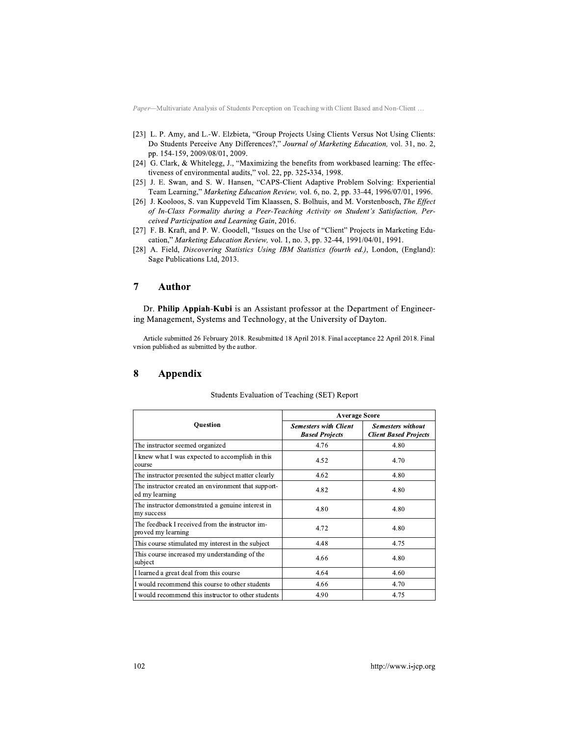- [23] L. P. Amy, and L.-W. Elzbieta, "Group Projects Using Clients Versus Not Using Clients: Do Students Perceive Any Differences?," Journal of Marketing Education, vol. 31, no. 2, pp. 154-159, 2009/08/01, 2009.
- [24] G. Clark, & Whitelegg, J., "Maximizing the benefits from workbased learning: The effectiveness of environmental audits," vol. 22, pp. 325-334, 1998.
- [25] J. E. Swan, and S. W. Hansen, "CAPS-Client Adaptive Problem Solving: Experiential Team Learning," Marketing Education Review, vol. 6, no. 2, pp. 33-44, 1996/07/01, 1996.
- [26] J. Kooloos, S. van Kuppeveld Tim Klaassen, S. Bolhuis, and M. Vorstenbosch, The Effect of In-Class Formality during a Peer-Teaching Activity on Student's Satisfaction, Perceived Participation and Learning Gain, 2016.
- [27] F. B. Kraft, and P. W. Goodell, "Issues on the Use of "Client" Projects in Marketing Education," Marketing Education Review, vol. 1, no. 3, pp. 32-44, 1991/04/01, 1991.
- [28] A. Field, Discovering Statistics Using IBM Statistics (fourth ed.), London, (England): Sage Publications Ltd, 2013.

#### $\overline{7}$ **Author**

Dr. Philip Appiah-Kubi is an Assistant professor at the Department of Engineering Management, Systems and Technology, at the University of Dayton.

Article submitted 26 February 2018. Resubmitted 18 April 2018. Final acceptance 22 April 2018. Final vrsion published as submitted by the author.

#### 8 Appendix

|                                                                       | <b>Average Score</b>                                  |                                                          |  |  |
|-----------------------------------------------------------------------|-------------------------------------------------------|----------------------------------------------------------|--|--|
| <b>Ouestion</b>                                                       | <b>Semesters with Client</b><br><b>Based Projects</b> | <b>Semesters without</b><br><b>Client Based Projects</b> |  |  |
| The instructor seemed organized                                       | 4.76                                                  | 4.80                                                     |  |  |
| I knew what I was expected to accomplish in this<br>course            | 4.52                                                  | 4.70                                                     |  |  |
| The instructor presented the subject matter clearly                   | 4.62                                                  | 4.80                                                     |  |  |
| The instructor created an environment that support-<br>ed my learning | 4.82                                                  | 4.80                                                     |  |  |
| The instructor demonstrated a genuine interest in<br>my success       | 4.80                                                  | 4.80                                                     |  |  |
| The feedback I received from the instructor im-<br>proved my learning | 4.72                                                  | 4.80                                                     |  |  |
| This course stimulated my interest in the subject                     | 4.48                                                  | 4.75                                                     |  |  |
| This course increased my understanding of the<br>subject              | 4.66                                                  | 4.80                                                     |  |  |
| I learned a great deal from this course                               | 4.64                                                  | 4.60                                                     |  |  |
| I would recommend this course to other students                       | 4.66                                                  | 4.70                                                     |  |  |
| I would recommend this instructor to other students                   | 4.90                                                  | 4.75                                                     |  |  |

### Students Evaluation of Teaching (SET) Report